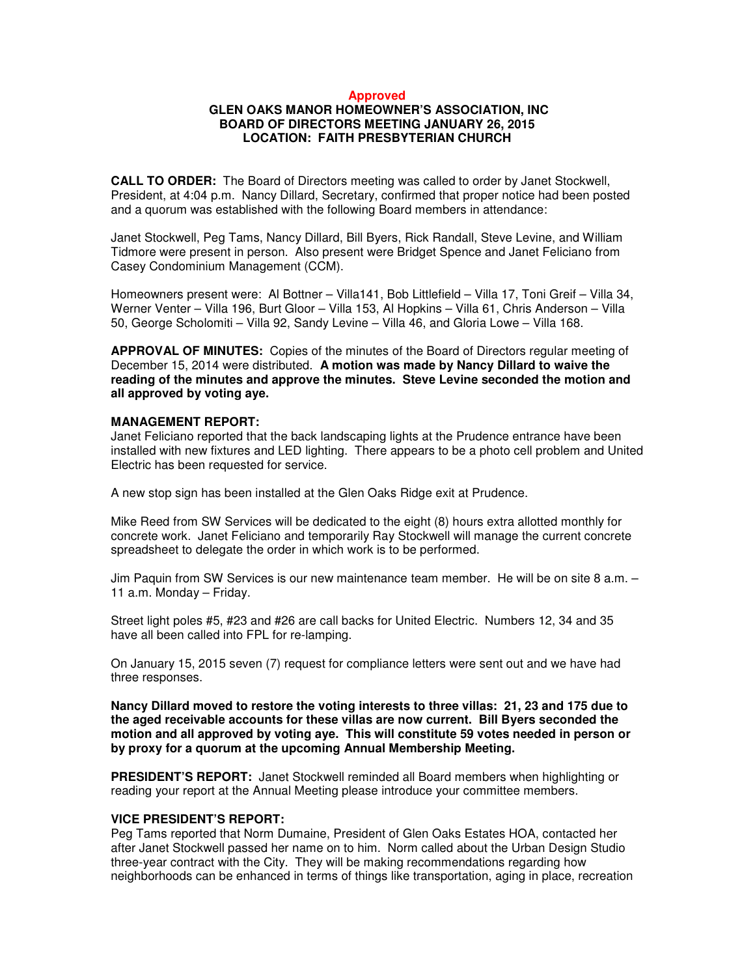#### **Approved**

## **GLEN OAKS MANOR HOMEOWNER'S ASSOCIATION, INC BOARD OF DIRECTORS MEETING JANUARY 26, 2015 LOCATION: FAITH PRESBYTERIAN CHURCH**

**CALL TO ORDER:** The Board of Directors meeting was called to order by Janet Stockwell, President, at 4:04 p.m. Nancy Dillard, Secretary, confirmed that proper notice had been posted and a quorum was established with the following Board members in attendance:

Janet Stockwell, Peg Tams, Nancy Dillard, Bill Byers, Rick Randall, Steve Levine, and William Tidmore were present in person. Also present were Bridget Spence and Janet Feliciano from Casey Condominium Management (CCM).

Homeowners present were: Al Bottner – Villa141, Bob Littlefield – Villa 17, Toni Greif – Villa 34, Werner Venter – Villa 196, Burt Gloor – Villa 153, Al Hopkins – Villa 61, Chris Anderson – Villa 50, George Scholomiti – Villa 92, Sandy Levine – Villa 46, and Gloria Lowe – Villa 168.

**APPROVAL OF MINUTES:** Copies of the minutes of the Board of Directors regular meeting of December 15, 2014 were distributed. **A motion was made by Nancy Dillard to waive the reading of the minutes and approve the minutes. Steve Levine seconded the motion and all approved by voting aye.**

## **MANAGEMENT REPORT:**

Janet Feliciano reported that the back landscaping lights at the Prudence entrance have been installed with new fixtures and LED lighting. There appears to be a photo cell problem and United Electric has been requested for service.

A new stop sign has been installed at the Glen Oaks Ridge exit at Prudence.

Mike Reed from SW Services will be dedicated to the eight (8) hours extra allotted monthly for concrete work. Janet Feliciano and temporarily Ray Stockwell will manage the current concrete spreadsheet to delegate the order in which work is to be performed.

Jim Paquin from SW Services is our new maintenance team member. He will be on site 8 a.m. – 11 a.m. Monday – Friday.

Street light poles #5, #23 and #26 are call backs for United Electric. Numbers 12, 34 and 35 have all been called into FPL for re-lamping.

On January 15, 2015 seven (7) request for compliance letters were sent out and we have had three responses.

**Nancy Dillard moved to restore the voting interests to three villas: 21, 23 and 175 due to the aged receivable accounts for these villas are now current. Bill Byers seconded the motion and all approved by voting aye. This will constitute 59 votes needed in person or by proxy for a quorum at the upcoming Annual Membership Meeting.** 

**PRESIDENT'S REPORT:** Janet Stockwell reminded all Board members when highlighting or reading your report at the Annual Meeting please introduce your committee members.

#### **VICE PRESIDENT'S REPORT:**

Peg Tams reported that Norm Dumaine, President of Glen Oaks Estates HOA, contacted her after Janet Stockwell passed her name on to him. Norm called about the Urban Design Studio three-year contract with the City. They will be making recommendations regarding how neighborhoods can be enhanced in terms of things like transportation, aging in place, recreation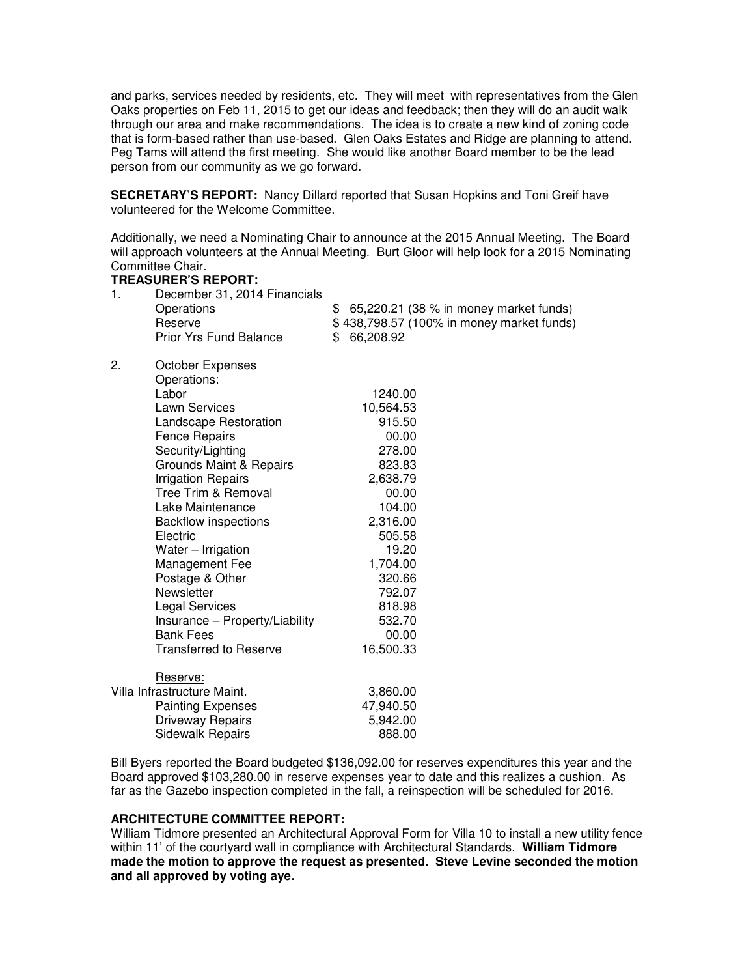and parks, services needed by residents, etc. They will meet with representatives from the Glen Oaks properties on Feb 11, 2015 to get our ideas and feedback; then they will do an audit walk through our area and make recommendations. The idea is to create a new kind of zoning code that is form-based rather than use-based. Glen Oaks Estates and Ridge are planning to attend. Peg Tams will attend the first meeting. She would like another Board member to be the lead person from our community as we go forward.

**SECRETARY'S REPORT:** Nancy Dillard reported that Susan Hopkins and Toni Greif have volunteered for the Welcome Committee.

Additionally, we need a Nominating Chair to announce at the 2015 Annual Meeting. The Board will approach volunteers at the Annual Meeting. Burt Gloor will help look for a 2015 Nominating Committee Chair.

# **TREASURER'S REPORT:** 1. December 31, 2014 Financials Operations \$ 65,220.21 (38 % in money market funds) Reserve **\$** 438,798.57 (100% in money market funds) Prior Yrs Fund Balance \$ 66,208.92 2. October Expenses Operations: Labor 1240.00 Lawn Services 10,564.53 Landscape Restoration 815.50 Fence Repairs 00.00 Security/Lighting 278.00 Grounds Maint & Repairs 823.83 Irrigation Repairs 2,638.79 Tree Trim & Removal 00.00 Lake Maintenance 104.00 Backflow inspections 2,316.00<br>Electric 505.58 **Electric** Water – Irrigation 19.20 Management Fee 1,704.00 Postage & Other 320.66 Newsletter 792.07 Legal Services 818.98 Insurance – Property/Liability 532.70 Bank Fees 00.00 Transferred to Reserve 16,500.33 Reserve: Villa Infrastructure Maint. **3,860.00** Painting Expenses 47,940.50 Driveway Repairs 5,942.00

Bill Byers reported the Board budgeted \$136,092.00 for reserves expenditures this year and the Board approved \$103,280.00 in reserve expenses year to date and this realizes a cushion. As far as the Gazebo inspection completed in the fall, a reinspection will be scheduled for 2016.

### **ARCHITECTURE COMMITTEE REPORT:**

Sidewalk Repairs 888.00

William Tidmore presented an Architectural Approval Form for Villa 10 to install a new utility fence within 11' of the courtyard wall in compliance with Architectural Standards. **William Tidmore made the motion to approve the request as presented. Steve Levine seconded the motion and all approved by voting aye.**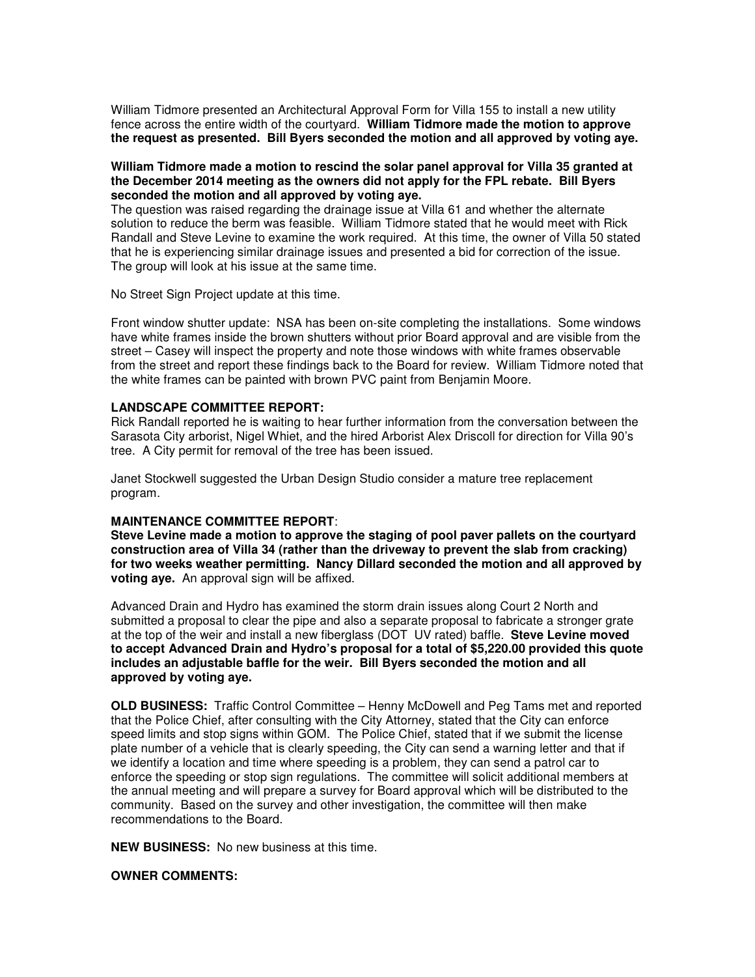William Tidmore presented an Architectural Approval Form for Villa 155 to install a new utility fence across the entire width of the courtyard. **William Tidmore made the motion to approve the request as presented. Bill Byers seconded the motion and all approved by voting aye.** 

### **William Tidmore made a motion to rescind the solar panel approval for Villa 35 granted at the December 2014 meeting as the owners did not apply for the FPL rebate. Bill Byers seconded the motion and all approved by voting aye.**

The question was raised regarding the drainage issue at Villa 61 and whether the alternate solution to reduce the berm was feasible. William Tidmore stated that he would meet with Rick Randall and Steve Levine to examine the work required. At this time, the owner of Villa 50 stated that he is experiencing similar drainage issues and presented a bid for correction of the issue. The group will look at his issue at the same time.

No Street Sign Project update at this time.

Front window shutter update: NSA has been on-site completing the installations. Some windows have white frames inside the brown shutters without prior Board approval and are visible from the street – Casey will inspect the property and note those windows with white frames observable from the street and report these findings back to the Board for review. William Tidmore noted that the white frames can be painted with brown PVC paint from Benjamin Moore.

### **LANDSCAPE COMMITTEE REPORT:**

Rick Randall reported he is waiting to hear further information from the conversation between the Sarasota City arborist, Nigel Whiet, and the hired Arborist Alex Driscoll for direction for Villa 90's tree. A City permit for removal of the tree has been issued.

Janet Stockwell suggested the Urban Design Studio consider a mature tree replacement program.

### **MAINTENANCE COMMITTEE REPORT**:

**Steve Levine made a motion to approve the staging of pool paver pallets on the courtyard construction area of Villa 34 (rather than the driveway to prevent the slab from cracking) for two weeks weather permitting. Nancy Dillard seconded the motion and all approved by voting aye.** An approval sign will be affixed.

Advanced Drain and Hydro has examined the storm drain issues along Court 2 North and submitted a proposal to clear the pipe and also a separate proposal to fabricate a stronger grate at the top of the weir and install a new fiberglass (DOT UV rated) baffle. **Steve Levine moved to accept Advanced Drain and Hydro's proposal for a total of \$5,220.00 provided this quote includes an adjustable baffle for the weir. Bill Byers seconded the motion and all approved by voting aye.** 

**OLD BUSINESS:** Traffic Control Committee – Henny McDowell and Peg Tams met and reported that the Police Chief, after consulting with the City Attorney, stated that the City can enforce speed limits and stop signs within GOM. The Police Chief, stated that if we submit the license plate number of a vehicle that is clearly speeding, the City can send a warning letter and that if we identify a location and time where speeding is a problem, they can send a patrol car to enforce the speeding or stop sign regulations. The committee will solicit additional members at the annual meeting and will prepare a survey for Board approval which will be distributed to the community. Based on the survey and other investigation, the committee will then make recommendations to the Board.

**NEW BUSINESS:** No new business at this time.

### **OWNER COMMENTS:**